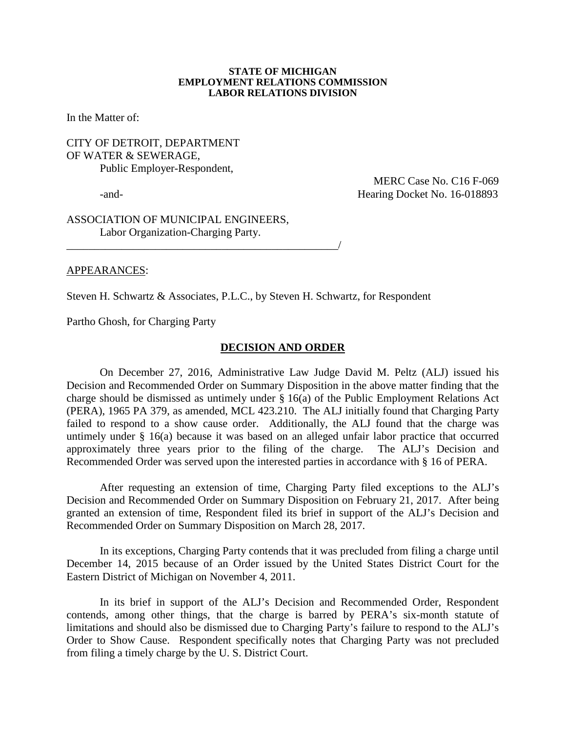#### **STATE OF MICHIGAN EMPLOYMENT RELATIONS COMMISSION LABOR RELATIONS DIVISION**

In the Matter of:

### CITY OF DETROIT, DEPARTMENT OF WATER & SEWERAGE, Public Employer-Respondent,

 MERC Case No. C16 F-069 -and-<br>
Hearing Docket No. 16-018893

ASSOCIATION OF MUNICIPAL ENGINEERS, Labor Organization-Charging Party.

\_\_\_\_\_\_\_\_\_\_\_\_\_\_\_\_\_\_\_\_\_\_\_\_\_\_\_\_\_\_\_\_\_\_\_\_\_\_\_\_\_\_\_\_\_\_\_\_\_/

### APPEARANCES:

Steven H. Schwartz & Associates, P.L.C., by Steven H. Schwartz, for Respondent

Partho Ghosh, for Charging Party

### **DECISION AND ORDER**

On December 27, 2016, Administrative Law Judge David M. Peltz (ALJ) issued his Decision and Recommended Order on Summary Disposition in the above matter finding that the charge should be dismissed as untimely under § 16(a) of the Public Employment Relations Act (PERA), 1965 PA 379, as amended, MCL 423.210. The ALJ initially found that Charging Party failed to respond to a show cause order. Additionally, the ALJ found that the charge was untimely under § 16(a) because it was based on an alleged unfair labor practice that occurred approximately three years prior to the filing of the charge. The ALJ's Decision and Recommended Order was served upon the interested parties in accordance with § 16 of PERA.

After requesting an extension of time, Charging Party filed exceptions to the ALJ's Decision and Recommended Order on Summary Disposition on February 21, 2017. After being granted an extension of time, Respondent filed its brief in support of the ALJ's Decision and Recommended Order on Summary Disposition on March 28, 2017.

In its exceptions, Charging Party contends that it was precluded from filing a charge until December 14, 2015 because of an Order issued by the United States District Court for the Eastern District of Michigan on November 4, 2011.

In its brief in support of the ALJ's Decision and Recommended Order, Respondent contends, among other things, that the charge is barred by PERA's six-month statute of limitations and should also be dismissed due to Charging Party's failure to respond to the ALJ's Order to Show Cause. Respondent specifically notes that Charging Party was not precluded from filing a timely charge by the U. S. District Court.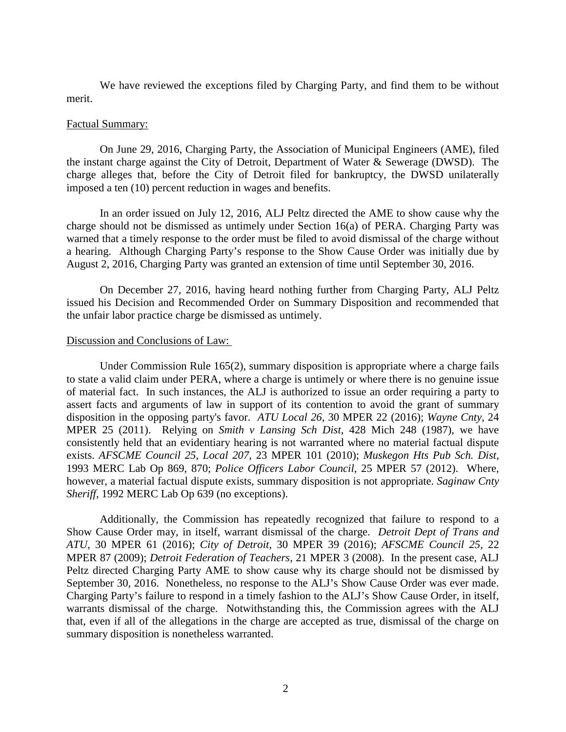We have reviewed the exceptions filed by Charging Party, and find them to be without merit.

#### Factual Summary:

On June 29, 2016, Charging Party, the Association of Municipal Engineers (AME), filed the instant charge against the City of Detroit, Department of Water & Sewerage (DWSD). The charge alleges that, before the City of Detroit filed for bankruptcy, the DWSD unilaterally imposed a ten (10) percent reduction in wages and benefits.

In an order issued on July 12, 2016, ALJ Peltz directed the AME to show cause why the charge should not be dismissed as untimely under Section 16(a) of PERA. Charging Party was warned that a timely response to the order must be filed to avoid dismissal of the charge without a hearing. Although Charging Party's response to the Show Cause Order was initially due by August 2, 2016, Charging Party was granted an extension of time until September 30, 2016.

On December 27, 2016, having heard nothing further from Charging Party, ALJ Peltz issued his Decision and Recommended Order on Summary Disposition and recommended that the unfair labor practice charge be dismissed as untimely.

## Discussion and Conclusions of Law:

Under Commission Rule 165(2), summary disposition is appropriate where a charge fails to state a valid claim under PERA, where a charge is untimely or where there is no genuine issue of material fact. In such instances, the ALJ is authorized to issue an order requiring a party to assert facts and arguments of law in support of its contention to avoid the grant of summary disposition in the opposing party's favor. *ATU Local 26*, 30 MPER 22 (2016); *Wayne Cnty*, 24 MPER 25 (2011). Relying on *Smith v Lansing Sch Dist*, 428 Mich 248 (1987), we have consistently held that an evidentiary hearing is not warranted where no material factual dispute exists. *AFSCME Council 25, Local 207*, 23 MPER 101 (2010); *Muskegon Hts Pub Sch. Dist*, 1993 MERC Lab Op 869, 870; *Police Officers Labor Council*, 25 MPER 57 (2012). Where, however, a material factual dispute exists, summary disposition is not appropriate. *Saginaw Cnty Sheriff*, 1992 MERC Lab Op 639 (no exceptions).

Additionally, the Commission has repeatedly recognized that failure to respond to a Show Cause Order may, in itself, warrant dismissal of the charge. *Detroit Dept of Trans and ATU*, 30 MPER 61 (2016); *City of Detroit*, 30 MPER 39 (2016); *AFSCME Council 25,* 22 MPER 87 (2009); *Detroit Federation of Teachers*, 21 MPER 3 (2008). In the present case, ALJ Peltz directed Charging Party AME to show cause why its charge should not be dismissed by September 30, 2016. Nonetheless, no response to the ALJ's Show Cause Order was ever made. Charging Party's failure to respond in a timely fashion to the ALJ's Show Cause Order, in itself, warrants dismissal of the charge. Notwithstanding this, the Commission agrees with the ALJ that, even if all of the allegations in the charge are accepted as true, dismissal of the charge on summary disposition is nonetheless warranted.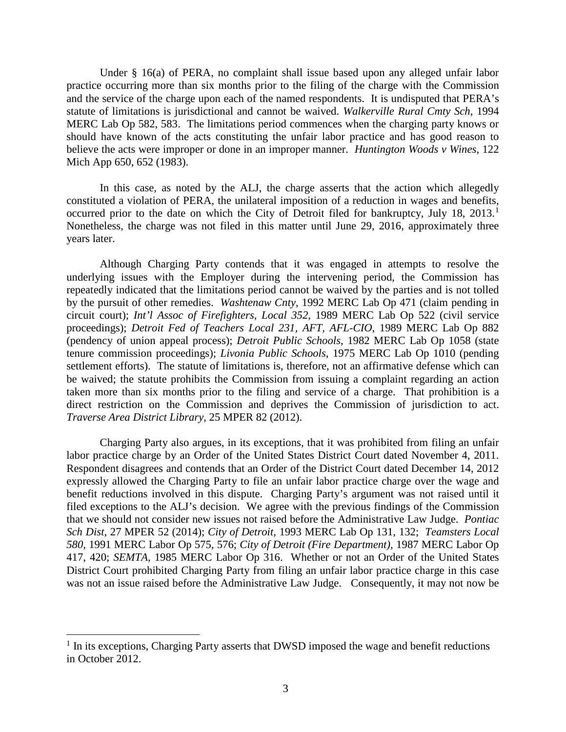Under § 16(a) of PERA, no complaint shall issue based upon any alleged unfair labor practice occurring more than six months prior to the filing of the charge with the Commission and the service of the charge upon each of the named respondents. It is undisputed that PERA's statute of limitations is jurisdictional and cannot be waived. *Walkerville Rural Cmty Sch*, 1994 MERC Lab Op 582, 583. The limitations period commences when the charging party knows or should have known of the acts constituting the unfair labor practice and has good reason to believe the acts were improper or done in an improper manner. *Huntington Woods v Wines*, 122 Mich App 650, 652 (1983).

In this case, as noted by the ALJ, the charge asserts that the action which allegedly constituted a violation of PERA, the unilateral imposition of a reduction in wages and benefits, occurred prior to the date on which the City of Detroit filed for bankruptcy, July [1](#page-2-0)8, 2013.<sup>1</sup> Nonetheless, the charge was not filed in this matter until June 29, 2016, approximately three years later.

Although Charging Party contends that it was engaged in attempts to resolve the underlying issues with the Employer during the intervening period, the Commission has repeatedly indicated that the limitations period cannot be waived by the parties and is not tolled by the pursuit of other remedies. *Washtenaw Cnty*, 1992 MERC Lab Op 471 (claim pending in circuit court); *Int'l Assoc of Firefighters, Local 352*, 1989 MERC Lab Op 522 (civil service proceedings); *Detroit Fed of Teachers Local 231, AFT, AFL-CIO*, 1989 MERC Lab Op 882 (pendency of union appeal process); *Detroit Public Schools*, 1982 MERC Lab Op 1058 (state tenure commission proceedings); *Livonia Public Schools*, 1975 MERC Lab Op 1010 (pending settlement efforts). The statute of limitations is, therefore, not an affirmative defense which can be waived; the statute prohibits the Commission from issuing a complaint regarding an action taken more than six months prior to the filing and service of a charge. That prohibition is a direct restriction on the Commission and deprives the Commission of jurisdiction to act. *Traverse Area District Library*, 25 MPER 82 (2012).

Charging Party also argues, in its exceptions, that it was prohibited from filing an unfair labor practice charge by an Order of the United States District Court dated November 4, 2011. Respondent disagrees and contends that an Order of the District Court dated December 14, 2012 expressly allowed the Charging Party to file an unfair labor practice charge over the wage and benefit reductions involved in this dispute. Charging Party's argument was not raised until it filed exceptions to the ALJ's decision. We agree with the previous findings of the Commission that we should not consider new issues not raised before the Administrative Law Judge. *Pontiac Sch Dist*, 27 MPER 52 (2014); *City of Detroit*, 1993 MERC Lab Op 131, 132; *Teamsters Local 580,* 1991 MERC Labor Op 575, 576; *City of Detroit (Fire Department),* 1987 MERC Labor Op 417, 420; *SEMTA,* 1985 MERC Labor Op 316. Whether or not an Order of the United States District Court prohibited Charging Party from filing an unfair labor practice charge in this case was not an issue raised before the Administrative Law Judge. Consequently, it may not now be

<span id="page-2-0"></span> $<sup>1</sup>$  In its exceptions, Charging Party asserts that DWSD imposed the wage and benefit reductions</sup> in October 2012.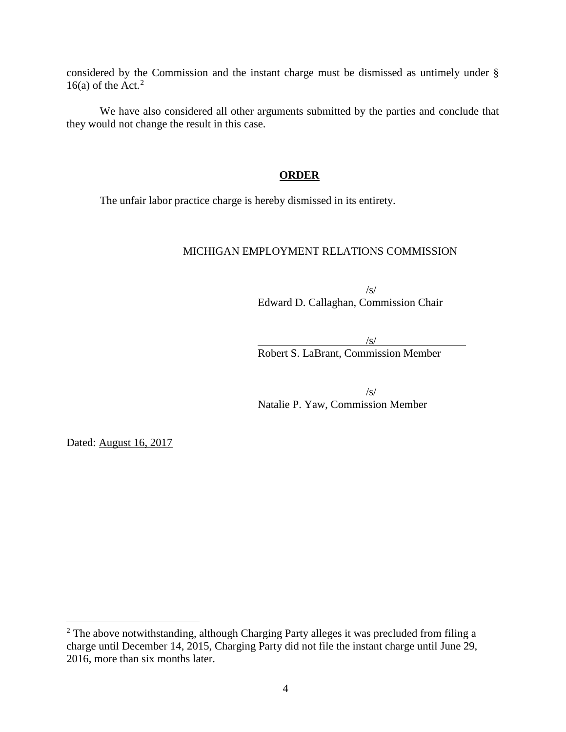considered by the Commission and the instant charge must be dismissed as untimely under § 16(a) of the Act.<sup>[2](#page-3-0)</sup>

We have also considered all other arguments submitted by the parties and conclude that they would not change the result in this case.

# **ORDER**

The unfair labor practice charge is hereby dismissed in its entirety.

# MICHIGAN EMPLOYMENT RELATIONS COMMISSION

 $\sqrt{s/}$ Edward D. Callaghan, Commission Chair

/s/ Robert S. LaBrant, Commission Member

/s/

Natalie P. Yaw, Commission Member

Dated: August 16, 2017

<span id="page-3-0"></span><sup>&</sup>lt;sup>2</sup> The above notwithstanding, although Charging Party alleges it was precluded from filing a charge until December 14, 2015, Charging Party did not file the instant charge until June 29, 2016, more than six months later.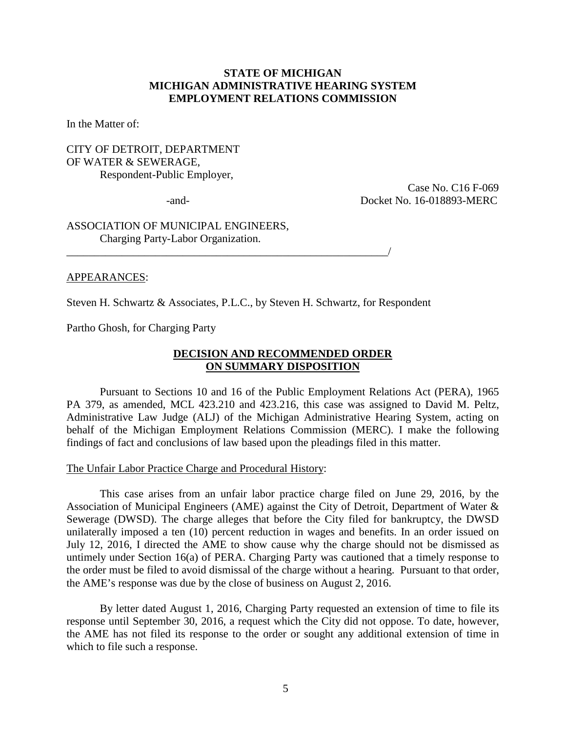### **STATE OF MICHIGAN MICHIGAN ADMINISTRATIVE HEARING SYSTEM EMPLOYMENT RELATIONS COMMISSION**

In the Matter of:

### CITY OF DETROIT, DEPARTMENT OF WATER & SEWERAGE, Respondent-Public Employer,

 Case No. C16 F-069 -and- Docket No. 16-018893-MERC

ASSOCIATION OF MUNICIPAL ENGINEERS, Charging Party-Labor Organization.

### APPEARANCES:

Steven H. Schwartz & Associates, P.L.C., by Steven H. Schwartz, for Respondent

\_\_\_\_\_\_\_\_\_\_\_\_\_\_\_\_\_\_\_\_\_\_\_\_\_\_\_\_\_\_\_\_\_\_\_\_\_\_\_\_\_\_\_\_\_\_\_\_\_\_\_\_\_\_\_\_\_\_/

Partho Ghosh, for Charging Party

### **DECISION AND RECOMMENDED ORDER ON SUMMARY DISPOSITION**

Pursuant to Sections 10 and 16 of the Public Employment Relations Act (PERA), 1965 PA 379, as amended, MCL 423.210 and 423.216, this case was assigned to David M. Peltz, Administrative Law Judge (ALJ) of the Michigan Administrative Hearing System, acting on behalf of the Michigan Employment Relations Commission (MERC). I make the following findings of fact and conclusions of law based upon the pleadings filed in this matter.

#### The Unfair Labor Practice Charge and Procedural History:

This case arises from an unfair labor practice charge filed on June 29, 2016, by the Association of Municipal Engineers (AME) against the City of Detroit, Department of Water & Sewerage (DWSD). The charge alleges that before the City filed for bankruptcy, the DWSD unilaterally imposed a ten (10) percent reduction in wages and benefits. In an order issued on July 12, 2016, I directed the AME to show cause why the charge should not be dismissed as untimely under Section 16(a) of PERA. Charging Party was cautioned that a timely response to the order must be filed to avoid dismissal of the charge without a hearing. Pursuant to that order, the AME's response was due by the close of business on August 2, 2016.

By letter dated August 1, 2016, Charging Party requested an extension of time to file its response until September 30, 2016, a request which the City did not oppose. To date, however, the AME has not filed its response to the order or sought any additional extension of time in which to file such a response.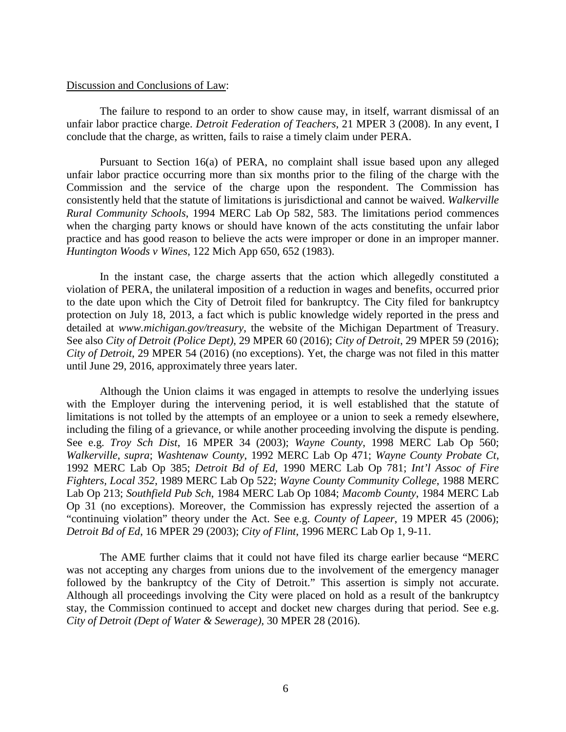#### Discussion and Conclusions of Law:

The failure to respond to an order to show cause may, in itself, warrant dismissal of an unfair labor practice charge. *Detroit Federation of Teachers*, 21 MPER 3 (2008). In any event, I conclude that the charge, as written, fails to raise a timely claim under PERA.

Pursuant to Section 16(a) of PERA, no complaint shall issue based upon any alleged unfair labor practice occurring more than six months prior to the filing of the charge with the Commission and the service of the charge upon the respondent. The Commission has consistently held that the statute of limitations is jurisdictional and cannot be waived. *Walkerville Rural Community Schools*, 1994 MERC Lab Op 582, 583. The limitations period commences when the charging party knows or should have known of the acts constituting the unfair labor practice and has good reason to believe the acts were improper or done in an improper manner. *Huntington Woods v Wines*, 122 Mich App 650, 652 (1983).

In the instant case, the charge asserts that the action which allegedly constituted a violation of PERA, the unilateral imposition of a reduction in wages and benefits, occurred prior to the date upon which the City of Detroit filed for bankruptcy. The City filed for bankruptcy protection on July 18, 2013, a fact which is public knowledge widely reported in the press and detailed at *www.michigan.gov/treasury*, the website of the Michigan Department of Treasury. See also *City of Detroit (Police Dept)*, 29 MPER 60 (2016); *City of Detroit*, 29 MPER 59 (2016); *City of Detroit*, 29 MPER 54 (2016) (no exceptions). Yet, the charge was not filed in this matter until June 29, 2016, approximately three years later.

Although the Union claims it was engaged in attempts to resolve the underlying issues with the Employer during the intervening period, it is well established that the statute of limitations is not tolled by the attempts of an employee or a union to seek a remedy elsewhere, including the filing of a grievance, or while another proceeding involving the dispute is pending. See e.g. *Troy Sch Dist*, 16 MPER 34 (2003); *Wayne County*, 1998 MERC Lab Op 560; *Walkerville*, *supra*; *Washtenaw County*, 1992 MERC Lab Op 471; *Wayne County Probate Ct*, 1992 MERC Lab Op 385; *Detroit Bd of Ed*, 1990 MERC Lab Op 781; *Int'l Assoc of Fire Fighters, Local 352*, 1989 MERC Lab Op 522; *Wayne County Community College*, 1988 MERC Lab Op 213; *Southfield Pub Sch*, 1984 MERC Lab Op 1084; *Macomb County*, 1984 MERC Lab Op 31 (no exceptions). Moreover, the Commission has expressly rejected the assertion of a "continuing violation" theory under the Act. See e.g. *County of Lapeer*, 19 MPER 45 (2006); *Detroit Bd of Ed*, 16 MPER 29 (2003); *City of Flint*, 1996 MERC Lab Op 1, 9-11.

The AME further claims that it could not have filed its charge earlier because "MERC was not accepting any charges from unions due to the involvement of the emergency manager followed by the bankruptcy of the City of Detroit." This assertion is simply not accurate. Although all proceedings involving the City were placed on hold as a result of the bankruptcy stay, the Commission continued to accept and docket new charges during that period. See e.g. *City of Detroit (Dept of Water & Sewerage)*, 30 MPER 28 (2016).